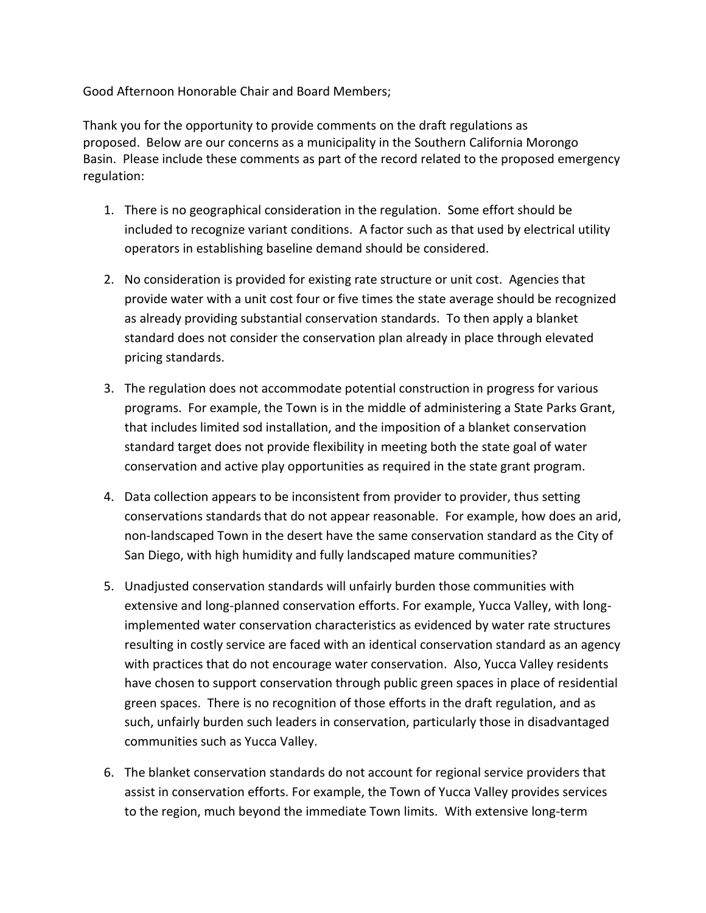Good Afternoon Honorable Chair and Board Members;

Thank you for the opportunity to provide comments on the draft regulations as proposed. Below are our concerns as a municipality in the Southern California Morongo Basin. Please include these comments as part of the record related to the proposed emergency regulation:

- 1. There is no geographical consideration in the regulation. Some effort should be included to recognize variant conditions. A factor such as that used by electrical utility operators in establishing baseline demand should be considered.
- 2. No consideration is provided for existing rate structure or unit cost. Agencies that provide water with a unit cost four or five times the state average should be recognized as already providing substantial conservation standards. To then apply a blanket standard does not consider the conservation plan already in place through elevated pricing standards.
- 3. The regulation does not accommodate potential construction in progress for various programs. For example, the Town is in the middle of administering a State Parks Grant, that includes limited sod installation, and the imposition of a blanket conservation standard target does not provide flexibility in meeting both the state goal of water conservation and active play opportunities as required in the state grant program.
- 4. Data collection appears to be inconsistent from provider to provider, thus setting conservations standards that do not appear reasonable. For example, how does an arid, non-landscaped Town in the desert have the same conservation standard as the City of San Diego, with high humidity and fully landscaped mature communities?
- 5. Unadjusted conservation standards will unfairly burden those communities with extensive and long-planned conservation efforts. For example, Yucca Valley, with longimplemented water conservation characteristics as evidenced by water rate structures resulting in costly service are faced with an identical conservation standard as an agency with practices that do not encourage water conservation. Also, Yucca Valley residents have chosen to support conservation through public green spaces in place of residential green spaces. There is no recognition of those efforts in the draft regulation, and as such, unfairly burden such leaders in conservation, particularly those in disadvantaged communities such as Yucca Valley.
- 6. The blanket conservation standards do not account for regional service providers that assist in conservation efforts. For example, the Town of Yucca Valley provides services to the region, much beyond the immediate Town limits. With extensive long-term